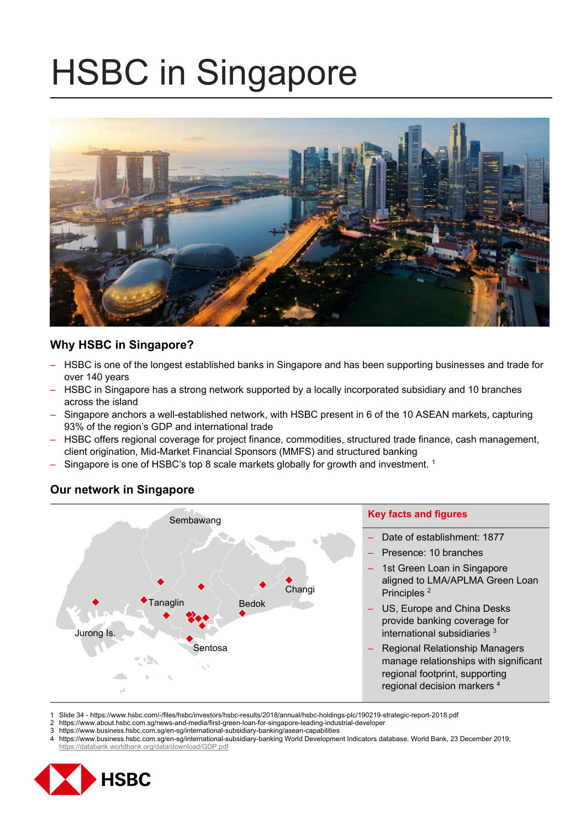# HSBC in Singapore



## **Why HSBC in Singapore?**

- HSBC is one of the longest established banks in Singapore and has been supporting businesses and trade for over 140 years
- HSBC in Singapore has a strong network supported by a locally incorporated subsidiary and 10 branches across the island
- Singapore anchors a well-established network, with HSBC present in 6 of the 10 ASEAN markets, capturing 93% of the region's GDP and international trade
- HSBC offers regional coverage for project finance, commodities, structured trade finance, cash management, client origination, Mid-Market Financial Sponsors (MMFS) and structured banking
- Singapore is one of HSBC's top 8 scale markets globally for growth and investment.<sup>1</sup>



# **Our network in Singapore**

- 1 Slide 34 https://www.hsbc.com/-/files/hsbc/investors/hsbc-results/2018/annual/hsbc-holdings-plc/190219-strategic-report-2018.pdf
- 2 https://www.about.hsbc.com.sg/news-and-media/first-green-loan-for-singapore-leading-industrial-developer<br>3 https://www.business.hsbc.com.sg/en-sg/international-subsidiary-banking/asean-capabilities
- 3 https://www.business.hsbc.com.sg/en-sg/international-subsidiary-banking/asean-capabilities<br>4 https://www.business.hsbc.com.sg/en-sg/international-subsidiary-banking World Developme
- 4 https://www.business.hsbc.com.sg/en-sg/international-subsidiary-banking World Development Indicators database, World Bank, 23 December 2019; https://databank.worldbank.org/data/download/GDP.pdf